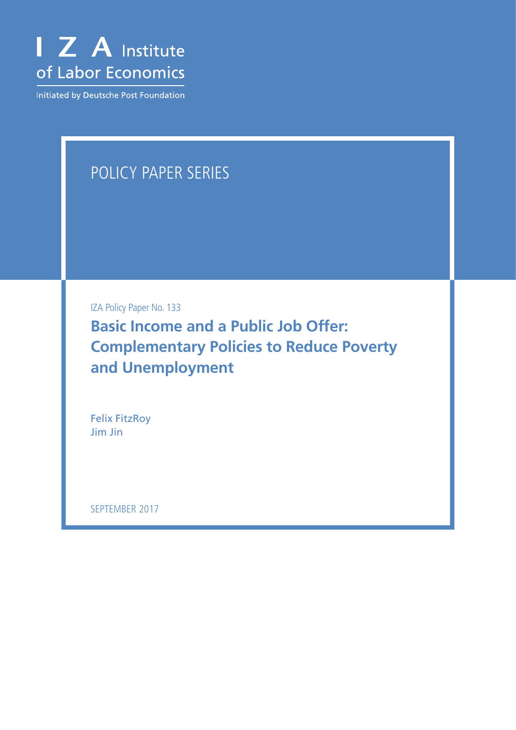

Initiated by Deutsche Post Foundation

# POLICY PAPER SERIES

IZA Policy Paper No. 133

**Basic Income and a Public Job Offer: Complementary Policies to Reduce Poverty and Unemployment**

Felix FitzRoy Jim Jin

SEPTEMBER 2017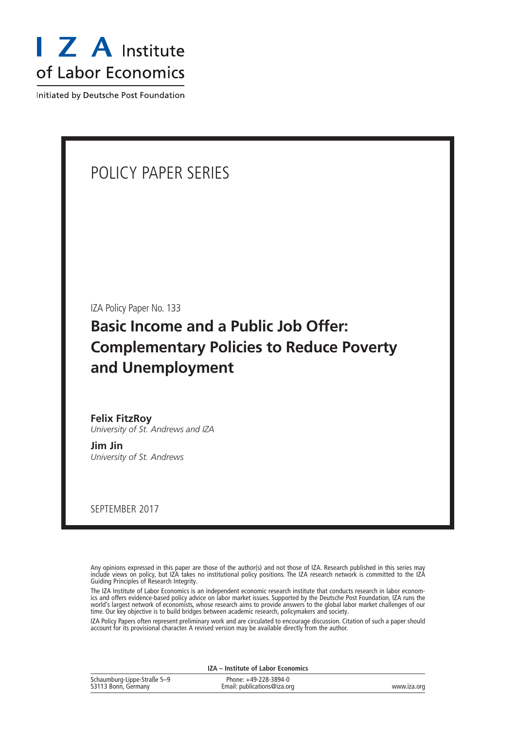

Initiated by Deutsche Post Foundation

## POLICY PAPER SERIES

IZA Policy Paper No. 133

## **Basic Income and a Public Job Offer: Complementary Policies to Reduce Poverty and Unemployment**

**Felix FitzRoy** *University of St. Andrews and IZA*

**Jim Jin** *University of St. Andrews*

SEPTEMBER 2017

Any opinions expressed in this paper are those of the author(s) and not those of IZA. Research published in this series may include views on policy, but IZA takes no institutional policy positions. The IZA research network is committed to the IZA Guiding Principles of Research Integrity.

The IZA Institute of Labor Economics is an independent economic research institute that conducts research in labor economics and offers evidence-based policy advice on labor market issues. Supported by the Deutsche Post Foundation, IZA runs the world's largest network of economists, whose research aims to provide answers to the global labor market challenges of our time. Our key objective is to build bridges between academic research, policymakers and society.

IZA Policy Papers often represent preliminary work and are circulated to encourage discussion. Citation of such a paper should account for its provisional character. A revised version may be available directly from the author.

**IZA – Institute of Labor Economics**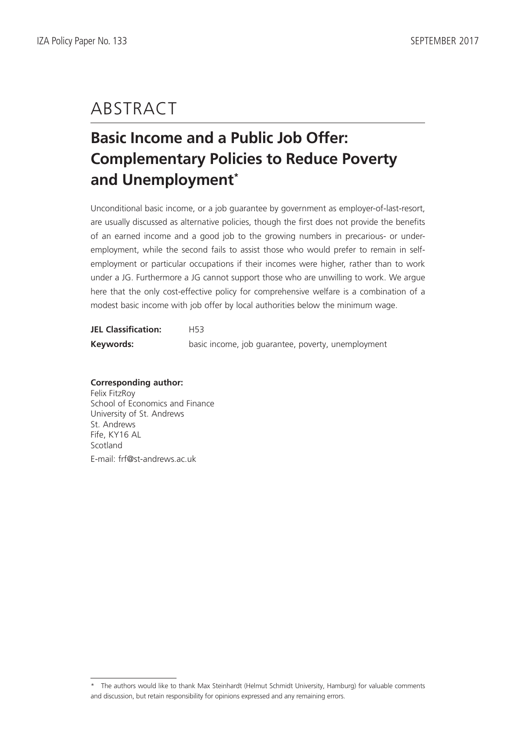# ABSTRACT

# **Basic Income and a Public Job Offer: Complementary Policies to Reduce Poverty and Unemployment\***

Unconditional basic income, or a job guarantee by government as employer-of-last-resort, are usually discussed as alternative policies, though the first does not provide the benefits of an earned income and a good job to the growing numbers in precarious- or underemployment, while the second fails to assist those who would prefer to remain in selfemployment or particular occupations if their incomes were higher, rather than to work under a JG. Furthermore a JG cannot support those who are unwilling to work. We argue here that the only cost-effective policy for comprehensive welfare is a combination of a modest basic income with job offer by local authorities below the minimum wage.

| <b>JEL Classification:</b> | H53                                                |
|----------------------------|----------------------------------------------------|
| Keywords:                  | basic income, job quarantee, poverty, unemployment |

### **Corresponding author:**

Felix FitzRoy School of Economics and Finance University of St. Andrews St. Andrews Fife, KY16 AL Scotland E-mail: frf@st-andrews.ac.uk

<sup>\*</sup> The authors would like to thank Max Steinhardt (Helmut Schmidt University, Hamburg) for valuable comments and discussion, but retain responsibility for opinions expressed and any remaining errors.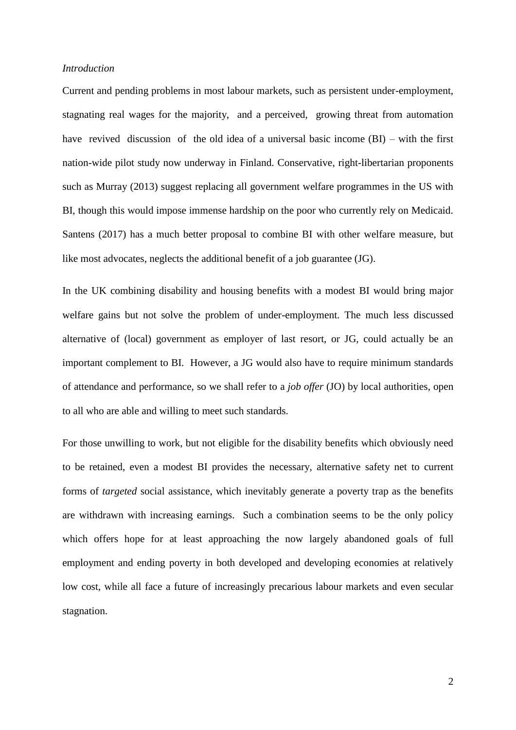#### *Introduction*

Current and pending problems in most labour markets, such as persistent under-employment, stagnating real wages for the majority, and a perceived, growing threat from automation have revived discussion of the old idea of a universal basic income (BI) – with the first nation-wide pilot study now underway in Finland. Conservative, right-libertarian proponents such as Murray (2013) suggest replacing all government welfare programmes in the US with BI, though this would impose immense hardship on the poor who currently rely on Medicaid. Santens (2017) has a much better proposal to combine BI with other welfare measure, but like most advocates, neglects the additional benefit of a job guarantee (JG).

In the UK combining disability and housing benefits with a modest BI would bring major welfare gains but not solve the problem of under-employment. The much less discussed alternative of (local) government as employer of last resort, or JG, could actually be an important complement to BI. However, a JG would also have to require minimum standards of attendance and performance, so we shall refer to a *job offer* (JO) by local authorities, open to all who are able and willing to meet such standards.

For those unwilling to work, but not eligible for the disability benefits which obviously need to be retained, even a modest BI provides the necessary, alternative safety net to current forms of *targeted* social assistance, which inevitably generate a poverty trap as the benefits are withdrawn with increasing earnings. Such a combination seems to be the only policy which offers hope for at least approaching the now largely abandoned goals of full employment and ending poverty in both developed and developing economies at relatively low cost, while all face a future of increasingly precarious labour markets and even secular stagnation.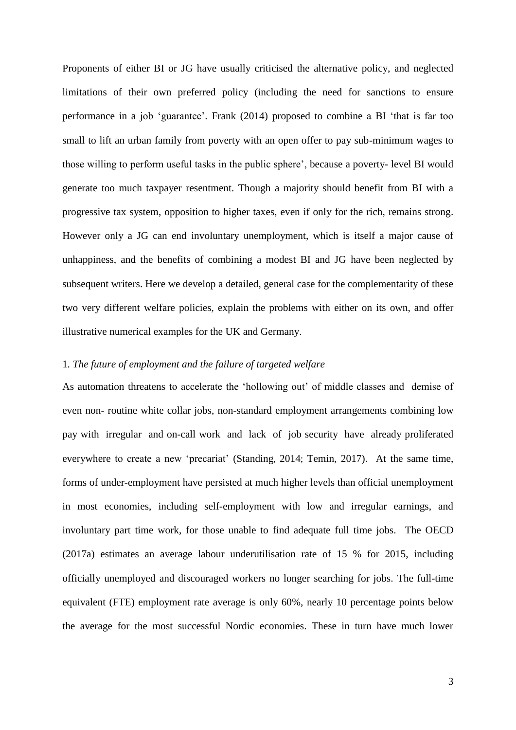Proponents of either BI or JG have usually criticised the alternative policy, and neglected limitations of their own preferred policy (including the need for sanctions to ensure performance in a job 'guarantee'. Frank (2014) proposed to combine a BI 'that is far too small to lift an urban family from poverty with an open offer to pay sub-minimum wages to those willing to perform useful tasks in the public sphere', because a poverty- level BI would generate too much taxpayer resentment. Though a majority should benefit from BI with a progressive tax system, opposition to higher taxes, even if only for the rich, remains strong. However only a JG can end involuntary unemployment, which is itself a major cause of unhappiness, and the benefits of combining a modest BI and JG have been neglected by subsequent writers. Here we develop a detailed, general case for the complementarity of these two very different welfare policies, explain the problems with either on its own, and offer illustrative numerical examples for the UK and Germany.

### 1*. The future of employment and the failure of targeted welfare*

As automation threatens to accelerate the 'hollowing out' of middle classes and demise of even non- routine white collar jobs, non-standard employment arrangements combining low pay with irregular and on-call work and lack of job security have already proliferated everywhere to create a new 'precariat' (Standing, 2014; Temin, 2017). At the same time, forms of under-employment have persisted at much higher levels than official unemployment in most economies, including self-employment with low and irregular earnings, and involuntary part time work, for those unable to find adequate full time jobs. The OECD (2017a) estimates an average labour underutilisation rate of 15 % for 2015, including officially unemployed and discouraged workers no longer searching for jobs. The full-time equivalent (FTE) employment rate average is only 60%, nearly 10 percentage points below the average for the most successful Nordic economies. These in turn have much lower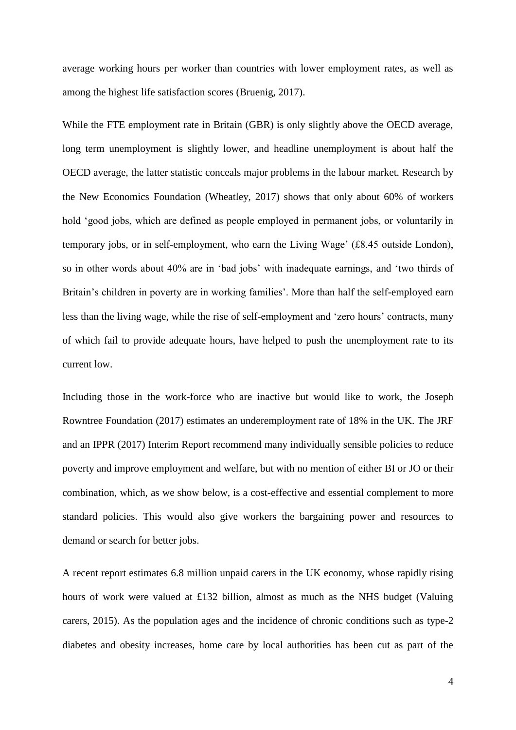average working hours per worker than countries with lower employment rates, as well as among the highest life satisfaction scores (Bruenig, 2017).

While the FTE employment rate in Britain (GBR) is only slightly above the OECD average, long term unemployment is slightly lower, and headline unemployment is about half the OECD average, the latter statistic conceals major problems in the labour market. Research by the New Economics Foundation (Wheatley, 2017) shows that only about 60% of workers hold 'good jobs, which are defined as people employed in permanent jobs, or voluntarily in temporary jobs, or in self-employment, who earn the Living Wage' (£8.45 outside London), so in other words about 40% are in 'bad jobs' with inadequate earnings, and 'two thirds of Britain's children in poverty are in working families'. More than half the self-employed earn less than the living wage, while the rise of self-employment and 'zero hours' contracts, many of which fail to provide adequate hours, have helped to push the unemployment rate to its current low.

Including those in the work-force who are inactive but would like to work, the Joseph Rowntree Foundation (2017) estimates an underemployment rate of 18% in the UK. The JRF and an IPPR (2017) Interim Report recommend many individually sensible policies to reduce poverty and improve employment and welfare, but with no mention of either BI or JO or their combination, which, as we show below, is a cost-effective and essential complement to more standard policies. This would also give workers the bargaining power and resources to demand or search for better jobs.

A recent report estimates 6.8 million unpaid carers in the UK economy, whose rapidly rising hours of work were valued at £132 billion, almost as much as the NHS budget (Valuing carers, 2015). As the population ages and the incidence of chronic conditions such as type-2 diabetes and obesity increases, home care by local authorities has been cut as part of the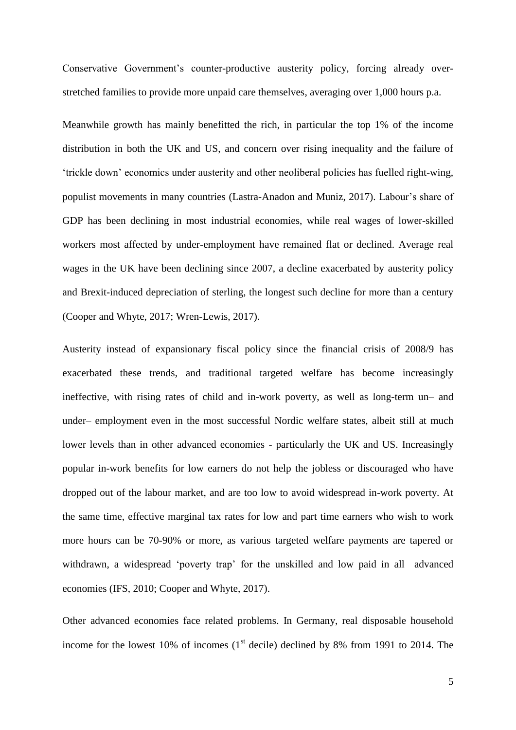Conservative Government's counter-productive austerity policy, forcing already overstretched families to provide more unpaid care themselves, averaging over 1,000 hours p.a.

Meanwhile growth has mainly benefitted the rich, in particular the top 1% of the income distribution in both the UK and US, and concern over rising inequality and the failure of 'trickle down' economics under austerity and other neoliberal policies has fuelled right-wing, populist movements in many countries (Lastra-Anadon and Muniz, 2017). Labour's share of GDP has been declining in most industrial economies, while real wages of lower-skilled workers most affected by under-employment have remained flat or declined. Average real wages in the UK have been declining since 2007, a decline exacerbated by austerity policy and Brexit-induced depreciation of sterling, the longest such decline for more than a century (Cooper and Whyte, 2017; Wren-Lewis, 2017).

Austerity instead of expansionary fiscal policy since the financial crisis of 2008/9 has exacerbated these trends, and traditional targeted welfare has become increasingly ineffective, with rising rates of child and in-work poverty, as well as long-term un– and under– employment even in the most successful Nordic welfare states, albeit still at much lower levels than in other advanced economies - particularly the UK and US. Increasingly popular in-work benefits for low earners do not help the jobless or discouraged who have dropped out of the labour market, and are too low to avoid widespread in-work poverty. At the same time, effective marginal tax rates for low and part time earners who wish to work more hours can be 70-90% or more, as various targeted welfare payments are tapered or withdrawn, a widespread 'poverty trap' for the unskilled and low paid in all advanced economies (IFS, 2010; Cooper and Whyte, 2017).

Other advanced economies face related problems. In Germany, real disposable household income for the lowest 10% of incomes  $(1<sup>st</sup>$  decile) declined by 8% from 1991 to 2014. The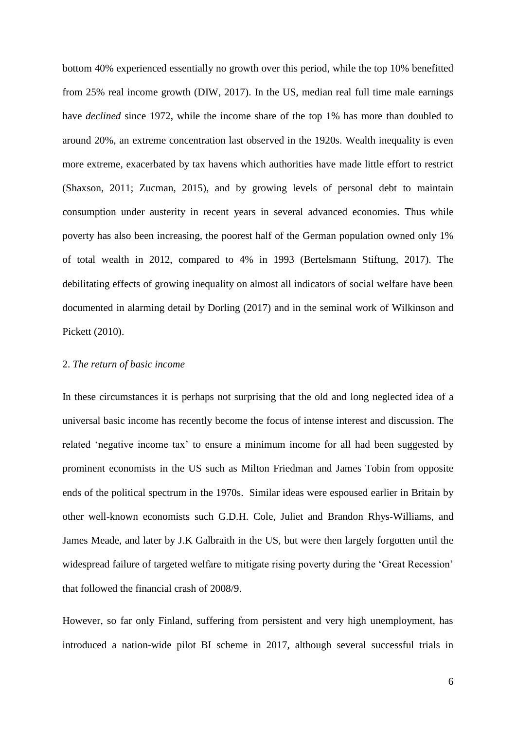bottom 40% experienced essentially no growth over this period, while the top 10% benefitted from 25% real income growth (DIW, 2017). In the US, median real full time male earnings have *declined* since 1972, while the income share of the top 1% has more than doubled to around 20%, an extreme concentration last observed in the 1920s. Wealth inequality is even more extreme, exacerbated by tax havens which authorities have made little effort to restrict (Shaxson, 2011; Zucman, 2015), and by growing levels of personal debt to maintain consumption under austerity in recent years in several advanced economies. Thus while poverty has also been increasing, the poorest half of the German population owned only 1% of total wealth in 2012, compared to 4% in 1993 (Bertelsmann Stiftung, 2017). The debilitating effects of growing inequality on almost all indicators of social welfare have been documented in alarming detail by Dorling (2017) and in the seminal work of Wilkinson and Pickett (2010).

### 2. *The return of basic income*

In these circumstances it is perhaps not surprising that the old and long neglected idea of a universal basic income has recently become the focus of intense interest and discussion. The related 'negative income tax' to ensure a minimum income for all had been suggested by prominent economists in the US such as Milton Friedman and James Tobin from opposite ends of the political spectrum in the 1970s. Similar ideas were espoused earlier in Britain by other well-known economists such G.D.H. Cole, Juliet and Brandon Rhys-Williams, and James Meade, and later by J.K Galbraith in the US, but were then largely forgotten until the widespread failure of targeted welfare to mitigate rising poverty during the 'Great Recession' that followed the financial crash of 2008/9.

However, so far only Finland, suffering from persistent and very high unemployment, has introduced a nation-wide pilot BI scheme in 2017, although several successful trials in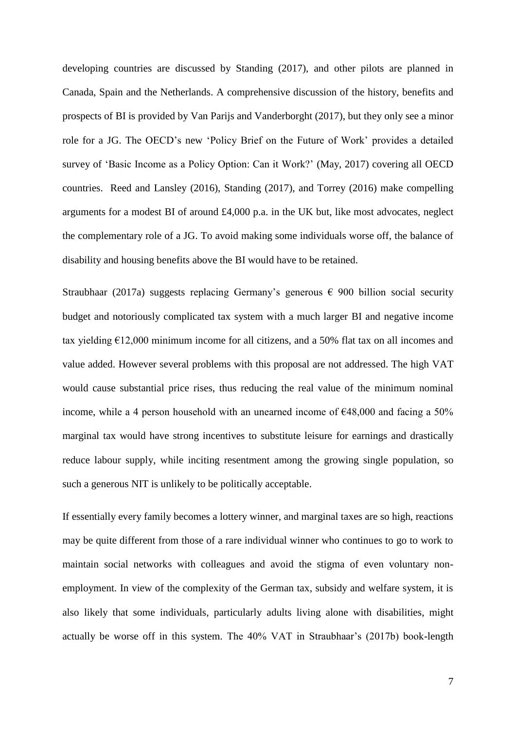developing countries are discussed by Standing (2017), and other pilots are planned in Canada, Spain and the Netherlands. A comprehensive discussion of the history, benefits and prospects of BI is provided by Van Parijs and Vanderborght (2017), but they only see a minor role for a JG. The OECD's new 'Policy Brief on the Future of Work' provides a detailed survey of 'Basic Income as a Policy Option: Can it Work?' (May, 2017) covering all OECD countries. Reed and Lansley (2016), Standing (2017), and Torrey (2016) make compelling arguments for a modest BI of around £4,000 p.a. in the UK but, like most advocates, neglect the complementary role of a JG. To avoid making some individuals worse off, the balance of disability and housing benefits above the BI would have to be retained.

Straubhaar (2017a) suggests replacing Germany's generous  $\epsilon$  900 billion social security budget and notoriously complicated tax system with a much larger BI and negative income tax yielding  $E12,000$  minimum income for all citizens, and a 50% flat tax on all incomes and value added. However several problems with this proposal are not addressed. The high VAT would cause substantial price rises, thus reducing the real value of the minimum nominal income, while a 4 person household with an unearned income of  $\epsilon$ 48,000 and facing a 50% marginal tax would have strong incentives to substitute leisure for earnings and drastically reduce labour supply, while inciting resentment among the growing single population, so such a generous NIT is unlikely to be politically acceptable.

If essentially every family becomes a lottery winner, and marginal taxes are so high, reactions may be quite different from those of a rare individual winner who continues to go to work to maintain social networks with colleagues and avoid the stigma of even voluntary nonemployment. In view of the complexity of the German tax, subsidy and welfare system, it is also likely that some individuals, particularly adults living alone with disabilities, might actually be worse off in this system. The 40% VAT in Straubhaar's (2017b) book-length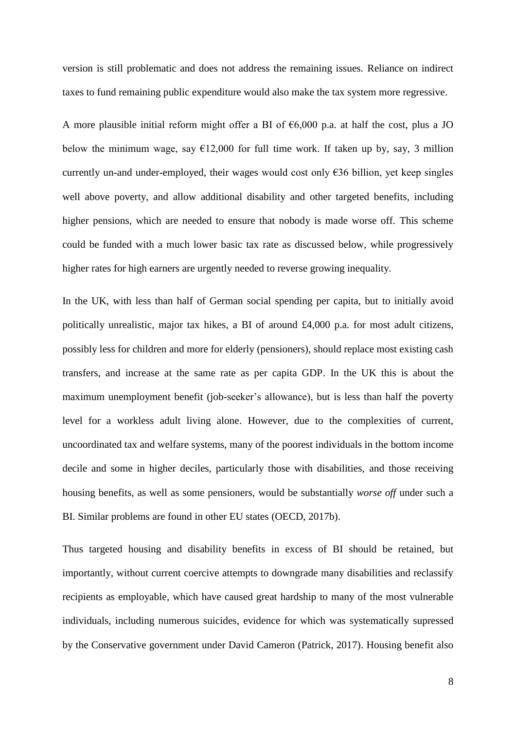version is still problematic and does not address the remaining issues. Reliance on indirect taxes to fund remaining public expenditure would also make the tax system more regressive.

A more plausible initial reform might offer a BI of  $\epsilon$ 6,000 p.a. at half the cost, plus a JO below the minimum wage, say  $\epsilon$ 12,000 for full time work. If taken up by, say, 3 million currently un-and under-employed, their wages would cost only  $\epsilon$ 36 billion, yet keep singles well above poverty, and allow additional disability and other targeted benefits, including higher pensions, which are needed to ensure that nobody is made worse off. This scheme could be funded with a much lower basic tax rate as discussed below, while progressively higher rates for high earners are urgently needed to reverse growing inequality.

In the UK, with less than half of German social spending per capita, but to initially avoid politically unrealistic, major tax hikes, a BI of around £4,000 p.a. for most adult citizens, possibly less for children and more for elderly (pensioners), should replace most existing cash transfers, and increase at the same rate as per capita GDP. In the UK this is about the maximum unemployment benefit (job-seeker's allowance), but is less than half the poverty level for a workless adult living alone. However, due to the complexities of current, uncoordinated tax and welfare systems, many of the poorest individuals in the bottom income decile and some in higher deciles, particularly those with disabilities, and those receiving housing benefits, as well as some pensioners, would be substantially *worse off* under such a BI. Similar problems are found in other EU states (OECD, 2017b).

Thus targeted housing and disability benefits in excess of BI should be retained, but importantly, without current coercive attempts to downgrade many disabilities and reclassify recipients as employable, which have caused great hardship to many of the most vulnerable individuals, including numerous suicides, evidence for which was systematically supressed by the Conservative government under David Cameron (Patrick, 2017). Housing benefit also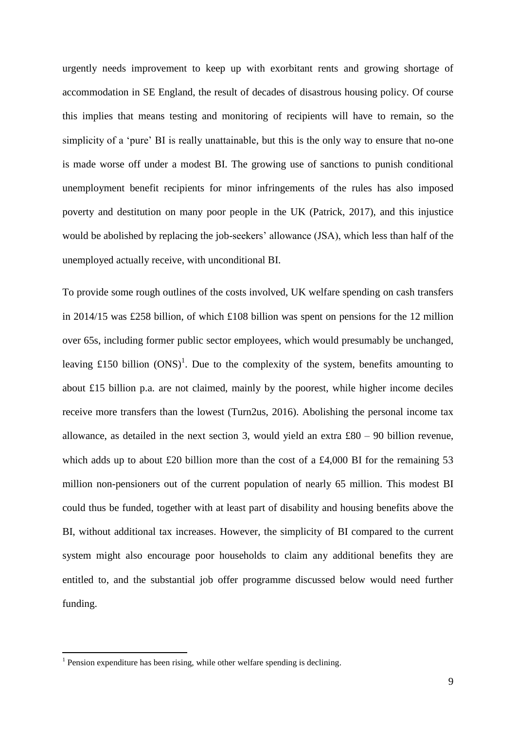urgently needs improvement to keep up with exorbitant rents and growing shortage of accommodation in SE England, the result of decades of disastrous housing policy. Of course this implies that means testing and monitoring of recipients will have to remain, so the simplicity of a 'pure' BI is really unattainable, but this is the only way to ensure that no-one is made worse off under a modest BI. The growing use of sanctions to punish conditional unemployment benefit recipients for minor infringements of the rules has also imposed poverty and destitution on many poor people in the UK (Patrick, 2017), and this injustice would be abolished by replacing the job-seekers' allowance (JSA), which less than half of the unemployed actually receive, with unconditional BI.

To provide some rough outlines of the costs involved, UK welfare spending on cash transfers in 2014/15 was £258 billion, of which £108 billion was spent on pensions for the 12 million over 65s, including former public sector employees, which would presumably be unchanged, leaving £150 billion  $(ONS)^1$ . Due to the complexity of the system, benefits amounting to about £15 billion p.a. are not claimed, mainly by the poorest, while higher income deciles receive more transfers than the lowest (Turn2us, 2016). Abolishing the personal income tax allowance, as detailed in the next section 3, would yield an extra £80 – 90 billion revenue, which adds up to about £20 billion more than the cost of a £4,000 BI for the remaining 53 million non-pensioners out of the current population of nearly 65 million. This modest BI could thus be funded, together with at least part of disability and housing benefits above the BI, without additional tax increases. However, the simplicity of BI compared to the current system might also encourage poor households to claim any additional benefits they are entitled to, and the substantial job offer programme discussed below would need further funding.

1

<sup>&</sup>lt;sup>1</sup> Pension expenditure has been rising, while other welfare spending is declining.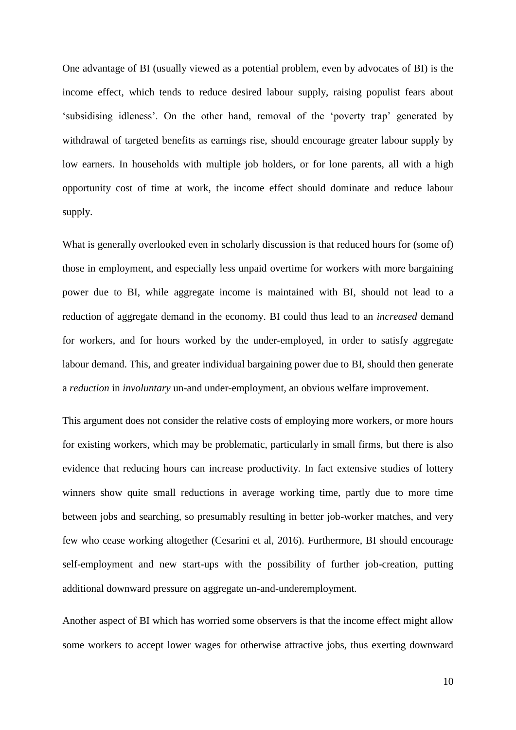One advantage of BI (usually viewed as a potential problem, even by advocates of BI) is the income effect, which tends to reduce desired labour supply, raising populist fears about 'subsidising idleness'. On the other hand, removal of the 'poverty trap' generated by withdrawal of targeted benefits as earnings rise, should encourage greater labour supply by low earners. In households with multiple job holders, or for lone parents, all with a high opportunity cost of time at work, the income effect should dominate and reduce labour supply.

What is generally overlooked even in scholarly discussion is that reduced hours for (some of) those in employment, and especially less unpaid overtime for workers with more bargaining power due to BI, while aggregate income is maintained with BI, should not lead to a reduction of aggregate demand in the economy. BI could thus lead to an *increased* demand for workers, and for hours worked by the under-employed, in order to satisfy aggregate labour demand. This, and greater individual bargaining power due to BI, should then generate a *reduction* in *involuntary* un-and under-employment, an obvious welfare improvement.

This argument does not consider the relative costs of employing more workers, or more hours for existing workers, which may be problematic, particularly in small firms, but there is also evidence that reducing hours can increase productivity. In fact extensive studies of lottery winners show quite small reductions in average working time, partly due to more time between jobs and searching, so presumably resulting in better job-worker matches, and very few who cease working altogether (Cesarini et al, 2016). Furthermore, BI should encourage self-employment and new start-ups with the possibility of further job-creation, putting additional downward pressure on aggregate un-and-underemployment.

Another aspect of BI which has worried some observers is that the income effect might allow some workers to accept lower wages for otherwise attractive jobs, thus exerting downward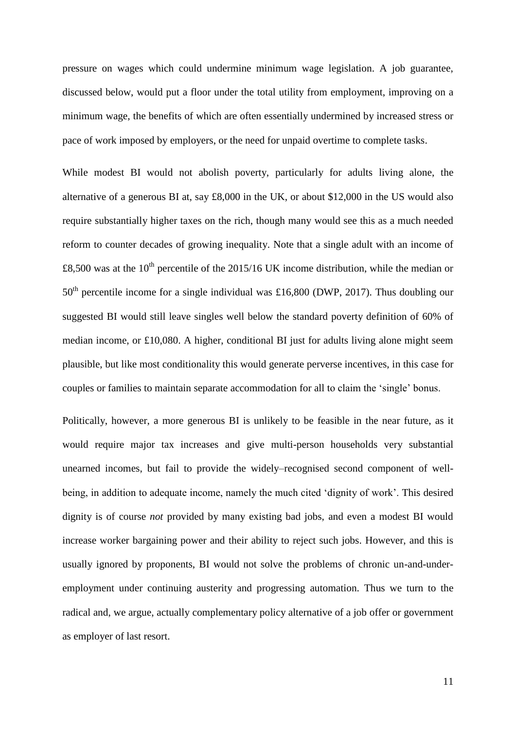pressure on wages which could undermine minimum wage legislation. A job guarantee, discussed below, would put a floor under the total utility from employment, improving on a minimum wage, the benefits of which are often essentially undermined by increased stress or pace of work imposed by employers, or the need for unpaid overtime to complete tasks.

While modest BI would not abolish poverty, particularly for adults living alone, the alternative of a generous BI at, say £8,000 in the UK, or about \$12,000 in the US would also require substantially higher taxes on the rich, though many would see this as a much needed reform to counter decades of growing inequality. Note that a single adult with an income of £8,500 was at the 10<sup>th</sup> percentile of the 2015/16 UK income distribution, while the median or  $50<sup>th</sup>$  percentile income for a single individual was £16,800 (DWP, 2017). Thus doubling our suggested BI would still leave singles well below the standard poverty definition of 60% of median income, or £10,080. A higher, conditional BI just for adults living alone might seem plausible, but like most conditionality this would generate perverse incentives, in this case for couples or families to maintain separate accommodation for all to claim the 'single' bonus.

Politically, however, a more generous BI is unlikely to be feasible in the near future, as it would require major tax increases and give multi-person households very substantial unearned incomes, but fail to provide the widely–recognised second component of wellbeing, in addition to adequate income, namely the much cited 'dignity of work'. This desired dignity is of course *not* provided by many existing bad jobs, and even a modest BI would increase worker bargaining power and their ability to reject such jobs. However, and this is usually ignored by proponents, BI would not solve the problems of chronic un-and-underemployment under continuing austerity and progressing automation. Thus we turn to the radical and, we argue, actually complementary policy alternative of a job offer or government as employer of last resort.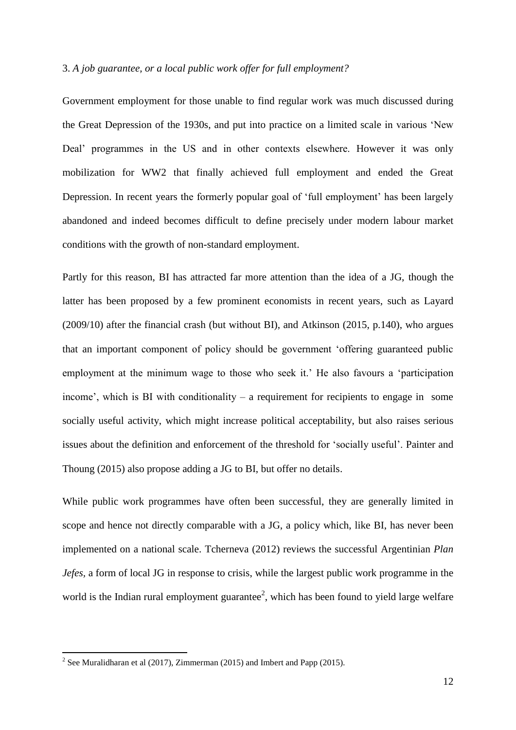#### 3. *A job guarantee, or a local public work offer for full employment?*

Government employment for those unable to find regular work was much discussed during the Great Depression of the 1930s, and put into practice on a limited scale in various 'New Deal' programmes in the US and in other contexts elsewhere. However it was only mobilization for WW2 that finally achieved full employment and ended the Great Depression. In recent years the formerly popular goal of 'full employment' has been largely abandoned and indeed becomes difficult to define precisely under modern labour market conditions with the growth of non-standard employment.

Partly for this reason, BI has attracted far more attention than the idea of a JG, though the latter has been proposed by a few prominent economists in recent years, such as Layard (2009/10) after the financial crash (but without BI), and Atkinson (2015, p.140), who argues that an important component of policy should be government 'offering guaranteed public employment at the minimum wage to those who seek it.' He also favours a 'participation income', which is BI with conditionality – a requirement for recipients to engage in some socially useful activity, which might increase political acceptability, but also raises serious issues about the definition and enforcement of the threshold for 'socially useful'. Painter and Thoung (2015) also propose adding a JG to BI, but offer no details.

While public work programmes have often been successful, they are generally limited in scope and hence not directly comparable with a JG, a policy which, like BI, has never been implemented on a national scale. Tcherneva (2012) reviews the successful Argentinian *Plan Jefes,* a form of local JG in response to crisis, while the largest public work programme in the world is the Indian rural employment guarantee<sup>2</sup>, which has been found to yield large welfare

<sup>&</sup>lt;sup>2</sup> See Muralidharan et al (2017), Zimmerman (2015) and Imbert and Papp (2015).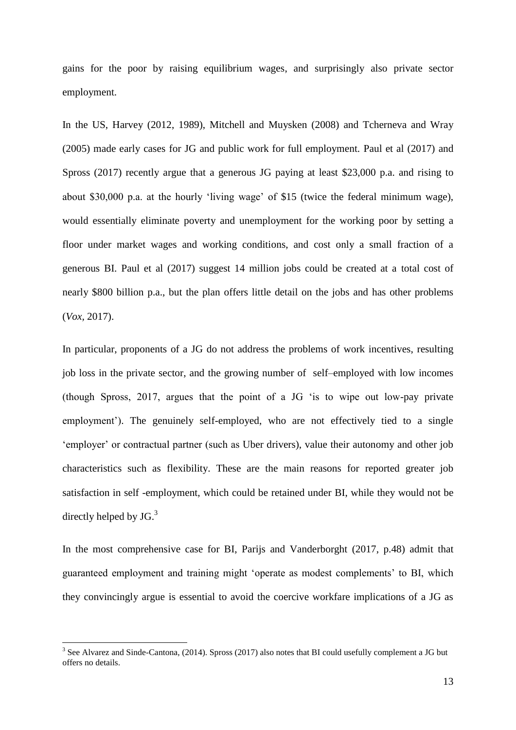gains for the poor by raising equilibrium wages, and surprisingly also private sector employment.

In the US, Harvey (2012, 1989), Mitchell and Muysken (2008) and Tcherneva and Wray (2005) made early cases for JG and public work for full employment. Paul et al (2017) and Spross (2017) recently argue that a generous JG paying at least \$23,000 p.a. and rising to about \$30,000 p.a. at the hourly 'living wage' of \$15 (twice the federal minimum wage), would essentially eliminate poverty and unemployment for the working poor by setting a floor under market wages and working conditions, and cost only a small fraction of a generous BI. Paul et al (2017) suggest 14 million jobs could be created at a total cost of nearly \$800 billion p.a., but the plan offers little detail on the jobs and has other problems (*Vox,* 2017).

In particular, proponents of a JG do not address the problems of work incentives, resulting job loss in the private sector, and the growing number of self–employed with low incomes (though Spross, 2017, argues that the point of a JG 'is to wipe out low-pay private employment'). The genuinely self-employed, who are not effectively tied to a single 'employer' or contractual partner (such as Uber drivers), value their autonomy and other job characteristics such as flexibility. These are the main reasons for reported greater job satisfaction in self -employment, which could be retained under BI, while they would not be directly helped by JG.<sup>3</sup>

In the most comprehensive case for BI, Parijs and Vanderborght (2017, p.48) admit that guaranteed employment and training might 'operate as modest complements' to BI, which they convincingly argue is essential to avoid the coercive workfare implications of a JG as

1

<sup>&</sup>lt;sup>3</sup> See Alvarez and Sinde-Cantona, (2014). Spross (2017) also notes that BI could usefully complement a JG but offers no details.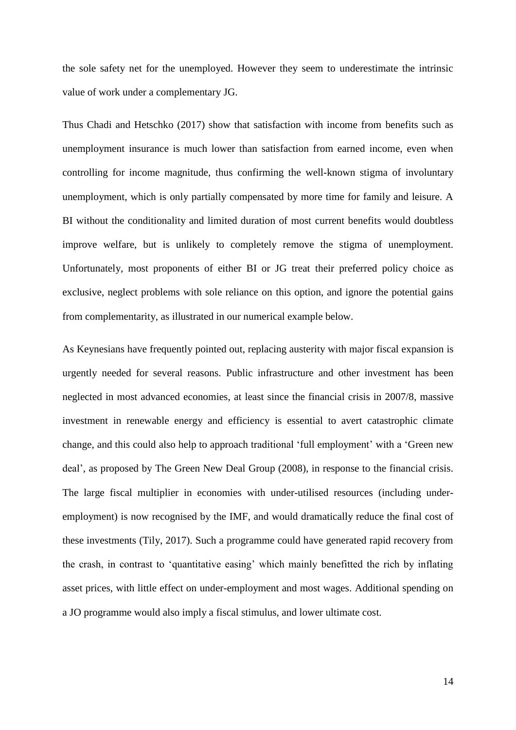the sole safety net for the unemployed. However they seem to underestimate the intrinsic value of work under a complementary JG.

Thus Chadi and Hetschko (2017) show that satisfaction with income from benefits such as unemployment insurance is much lower than satisfaction from earned income, even when controlling for income magnitude, thus confirming the well-known stigma of involuntary unemployment, which is only partially compensated by more time for family and leisure. A BI without the conditionality and limited duration of most current benefits would doubtless improve welfare, but is unlikely to completely remove the stigma of unemployment. Unfortunately, most proponents of either BI or JG treat their preferred policy choice as exclusive, neglect problems with sole reliance on this option, and ignore the potential gains from complementarity, as illustrated in our numerical example below.

As Keynesians have frequently pointed out, replacing austerity with major fiscal expansion is urgently needed for several reasons. Public infrastructure and other investment has been neglected in most advanced economies, at least since the financial crisis in 2007/8, massive investment in renewable energy and efficiency is essential to avert catastrophic climate change, and this could also help to approach traditional 'full employment' with a 'Green new deal', as proposed by The Green New Deal Group (2008), in response to the financial crisis. The large fiscal multiplier in economies with under-utilised resources (including underemployment) is now recognised by the IMF, and would dramatically reduce the final cost of these investments (Tily, 2017). Such a programme could have generated rapid recovery from the crash, in contrast to 'quantitative easing' which mainly benefitted the rich by inflating asset prices, with little effect on under-employment and most wages. Additional spending on a JO programme would also imply a fiscal stimulus, and lower ultimate cost.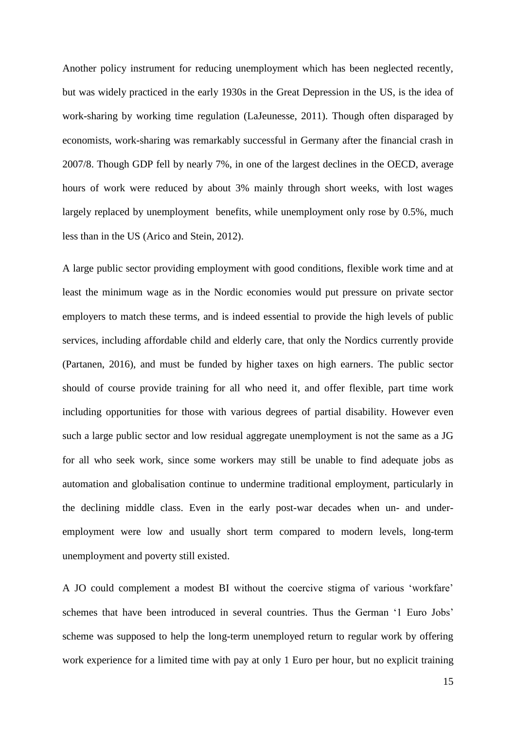Another policy instrument for reducing unemployment which has been neglected recently, but was widely practiced in the early 1930s in the Great Depression in the US, is the idea of work-sharing by working time regulation (LaJeunesse, 2011). Though often disparaged by economists, work-sharing was remarkably successful in Germany after the financial crash in 2007/8. Though GDP fell by nearly 7%, in one of the largest declines in the OECD, average hours of work were reduced by about 3% mainly through short weeks, with lost wages largely replaced by unemployment benefits, while unemployment only rose by 0.5%, much less than in the US (Arico and Stein, 2012).

A large public sector providing employment with good conditions, flexible work time and at least the minimum wage as in the Nordic economies would put pressure on private sector employers to match these terms, and is indeed essential to provide the high levels of public services, including affordable child and elderly care, that only the Nordics currently provide (Partanen, 2016), and must be funded by higher taxes on high earners. The public sector should of course provide training for all who need it, and offer flexible, part time work including opportunities for those with various degrees of partial disability. However even such a large public sector and low residual aggregate unemployment is not the same as a JG for all who seek work, since some workers may still be unable to find adequate jobs as automation and globalisation continue to undermine traditional employment, particularly in the declining middle class. Even in the early post-war decades when un- and underemployment were low and usually short term compared to modern levels, long-term unemployment and poverty still existed.

A JO could complement a modest BI without the coercive stigma of various 'workfare' schemes that have been introduced in several countries. Thus the German '1 Euro Jobs' scheme was supposed to help the long-term unemployed return to regular work by offering work experience for a limited time with pay at only 1 Euro per hour, but no explicit training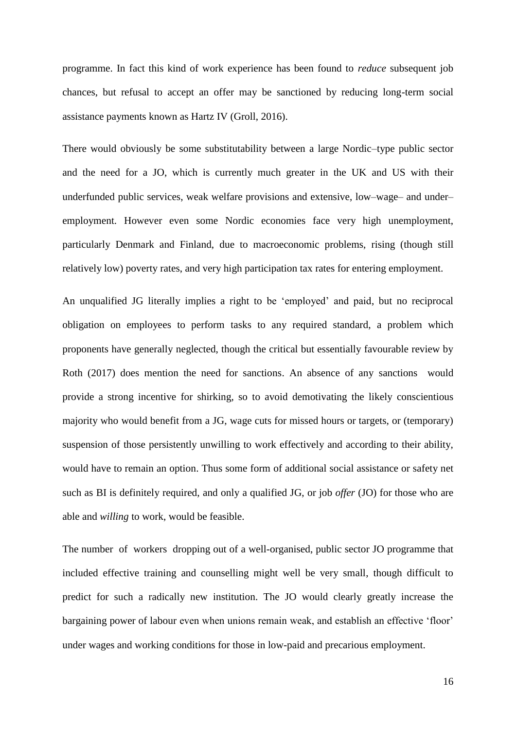programme. In fact this kind of work experience has been found to *reduce* subsequent job chances, but refusal to accept an offer may be sanctioned by reducing long-term social assistance payments known as Hartz IV (Groll, 2016).

There would obviously be some substitutability between a large Nordic–type public sector and the need for a JO, which is currently much greater in the UK and US with their underfunded public services, weak welfare provisions and extensive, low–wage– and under– employment. However even some Nordic economies face very high unemployment, particularly Denmark and Finland, due to macroeconomic problems, rising (though still relatively low) poverty rates, and very high participation tax rates for entering employment.

An unqualified JG literally implies a right to be 'employed' and paid, but no reciprocal obligation on employees to perform tasks to any required standard, a problem which proponents have generally neglected, though the critical but essentially favourable review by Roth (2017) does mention the need for sanctions. An absence of any sanctions would provide a strong incentive for shirking, so to avoid demotivating the likely conscientious majority who would benefit from a JG, wage cuts for missed hours or targets, or (temporary) suspension of those persistently unwilling to work effectively and according to their ability, would have to remain an option. Thus some form of additional social assistance or safety net such as BI is definitely required, and only a qualified JG, or job *offer* (JO) for those who are able and *willing* to work, would be feasible.

The number of workers dropping out of a well-organised, public sector JO programme that included effective training and counselling might well be very small, though difficult to predict for such a radically new institution. The JO would clearly greatly increase the bargaining power of labour even when unions remain weak, and establish an effective 'floor' under wages and working conditions for those in low-paid and precarious employment.

16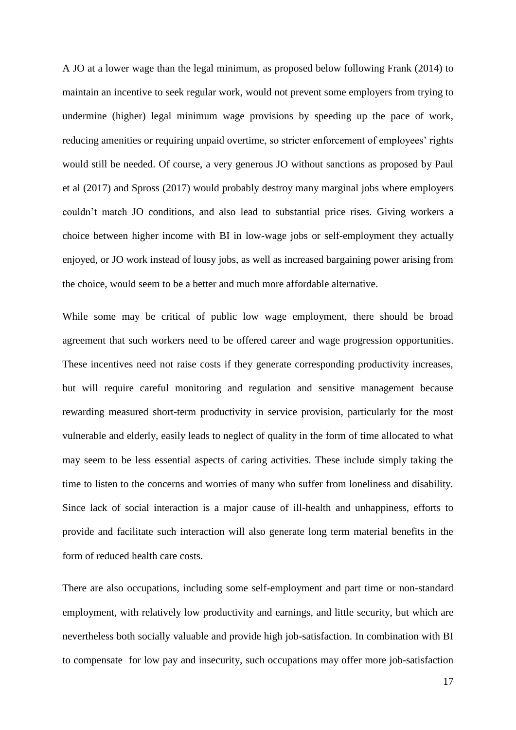A JO at a lower wage than the legal minimum, as proposed below following Frank (2014) to maintain an incentive to seek regular work, would not prevent some employers from trying to undermine (higher) legal minimum wage provisions by speeding up the pace of work, reducing amenities or requiring unpaid overtime, so stricter enforcement of employees' rights would still be needed. Of course, a very generous JO without sanctions as proposed by Paul et al (2017) and Spross (2017) would probably destroy many marginal jobs where employers couldn't match JO conditions, and also lead to substantial price rises. Giving workers a choice between higher income with BI in low-wage jobs or self-employment they actually enjoyed, or JO work instead of lousy jobs, as well as increased bargaining power arising from the choice, would seem to be a better and much more affordable alternative.

While some may be critical of public low wage employment, there should be broad agreement that such workers need to be offered career and wage progression opportunities. These incentives need not raise costs if they generate corresponding productivity increases, but will require careful monitoring and regulation and sensitive management because rewarding measured short-term productivity in service provision, particularly for the most vulnerable and elderly, easily leads to neglect of quality in the form of time allocated to what may seem to be less essential aspects of caring activities. These include simply taking the time to listen to the concerns and worries of many who suffer from loneliness and disability. Since lack of social interaction is a major cause of ill-health and unhappiness, efforts to provide and facilitate such interaction will also generate long term material benefits in the form of reduced health care costs.

There are also occupations, including some self-employment and part time or non-standard employment, with relatively low productivity and earnings, and little security, but which are nevertheless both socially valuable and provide high job-satisfaction. In combination with BI to compensate for low pay and insecurity, such occupations may offer more job-satisfaction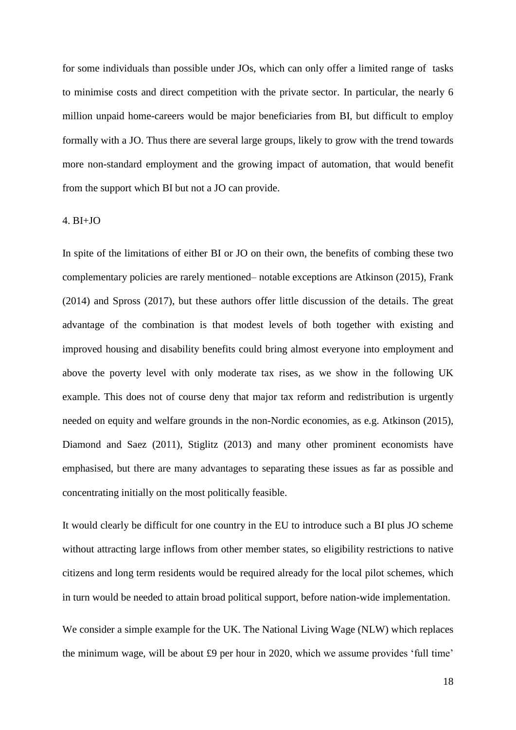for some individuals than possible under JOs, which can only offer a limited range of tasks to minimise costs and direct competition with the private sector. In particular, the nearly 6 million unpaid home-careers would be major beneficiaries from BI, but difficult to employ formally with a JO. Thus there are several large groups, likely to grow with the trend towards more non-standard employment and the growing impact of automation, that would benefit from the support which BI but not a JO can provide.

#### 4. BI+JO

In spite of the limitations of either BI or JO on their own, the benefits of combing these two complementary policies are rarely mentioned– notable exceptions are Atkinson (2015), Frank (2014) and Spross (2017), but these authors offer little discussion of the details. The great advantage of the combination is that modest levels of both together with existing and improved housing and disability benefits could bring almost everyone into employment and above the poverty level with only moderate tax rises, as we show in the following UK example. This does not of course deny that major tax reform and redistribution is urgently needed on equity and welfare grounds in the non-Nordic economies, as e.g. Atkinson (2015), Diamond and Saez (2011), Stiglitz (2013) and many other prominent economists have emphasised, but there are many advantages to separating these issues as far as possible and concentrating initially on the most politically feasible.

It would clearly be difficult for one country in the EU to introduce such a BI plus JO scheme without attracting large inflows from other member states, so eligibility restrictions to native citizens and long term residents would be required already for the local pilot schemes, which in turn would be needed to attain broad political support, before nation-wide implementation.

We consider a simple example for the UK. The National Living Wage (NLW) which replaces the minimum wage, will be about £9 per hour in 2020, which we assume provides 'full time'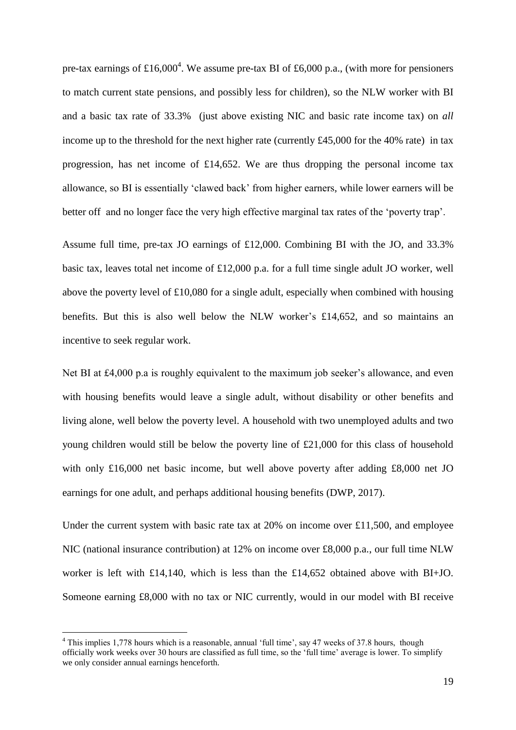pre-tax earnings of £16,000<sup>4</sup>. We assume pre-tax BI of £6,000 p.a., (with more for pensioners to match current state pensions, and possibly less for children), so the NLW worker with BI and a basic tax rate of 33.3% (just above existing NIC and basic rate income tax) on *all* income up to the threshold for the next higher rate (currently £45,000 for the 40% rate) in tax progression, has net income of £14,652. We are thus dropping the personal income tax allowance, so BI is essentially 'clawed back' from higher earners, while lower earners will be better off and no longer face the very high effective marginal tax rates of the 'poverty trap'.

Assume full time, pre-tax JO earnings of £12,000. Combining BI with the JO, and 33.3% basic tax, leaves total net income of £12,000 p.a. for a full time single adult JO worker, well above the poverty level of £10,080 for a single adult, especially when combined with housing benefits. But this is also well below the NLW worker's £14,652, and so maintains an incentive to seek regular work.

Net BI at £4,000 p.a is roughly equivalent to the maximum job seeker's allowance, and even with housing benefits would leave a single adult, without disability or other benefits and living alone, well below the poverty level. A household with two unemployed adults and two young children would still be below the poverty line of £21,000 for this class of household with only £16,000 net basic income, but well above poverty after adding £8,000 net JO earnings for one adult, and perhaps additional housing benefits (DWP, 2017).

Under the current system with basic rate tax at  $20\%$  on income over £11,500, and employee NIC (national insurance contribution) at 12% on income over £8,000 p.a., our full time NLW worker is left with £14,140, which is less than the £14,652 obtained above with BI+JO. Someone earning £8,000 with no tax or NIC currently, would in our model with BI receive

<u>.</u>

<sup>&</sup>lt;sup>4</sup> This implies 1,778 hours which is a reasonable, annual 'full time', say 47 weeks of 37.8 hours, though officially work weeks over 30 hours are classified as full time, so the 'full time' average is lower. To simplify we only consider annual earnings henceforth.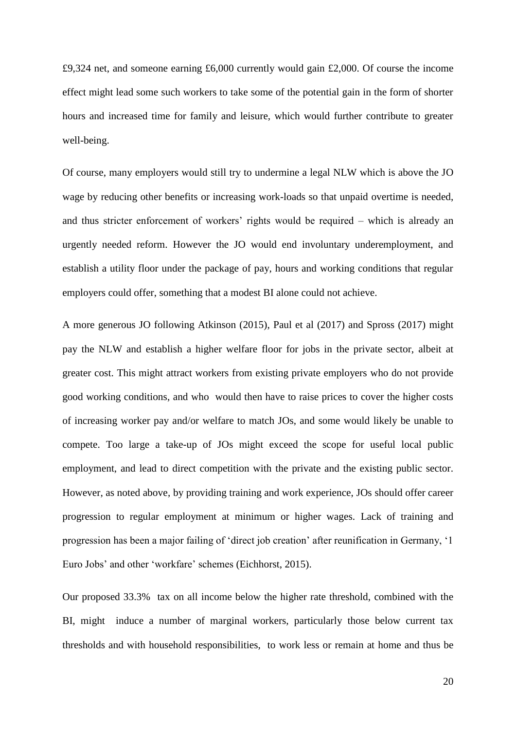£9,324 net, and someone earning £6,000 currently would gain £2,000. Of course the income effect might lead some such workers to take some of the potential gain in the form of shorter hours and increased time for family and leisure, which would further contribute to greater well-being.

Of course, many employers would still try to undermine a legal NLW which is above the JO wage by reducing other benefits or increasing work-loads so that unpaid overtime is needed, and thus stricter enforcement of workers' rights would be required – which is already an urgently needed reform. However the JO would end involuntary underemployment, and establish a utility floor under the package of pay, hours and working conditions that regular employers could offer, something that a modest BI alone could not achieve.

A more generous JO following Atkinson (2015), Paul et al (2017) and Spross (2017) might pay the NLW and establish a higher welfare floor for jobs in the private sector, albeit at greater cost. This might attract workers from existing private employers who do not provide good working conditions, and who would then have to raise prices to cover the higher costs of increasing worker pay and/or welfare to match JOs, and some would likely be unable to compete. Too large a take-up of JOs might exceed the scope for useful local public employment, and lead to direct competition with the private and the existing public sector. However, as noted above, by providing training and work experience, JOs should offer career progression to regular employment at minimum or higher wages. Lack of training and progression has been a major failing of 'direct job creation' after reunification in Germany, '1 Euro Jobs' and other 'workfare' schemes (Eichhorst, 2015).

Our proposed 33.3% tax on all income below the higher rate threshold, combined with the BI, might induce a number of marginal workers, particularly those below current tax thresholds and with household responsibilities, to work less or remain at home and thus be

20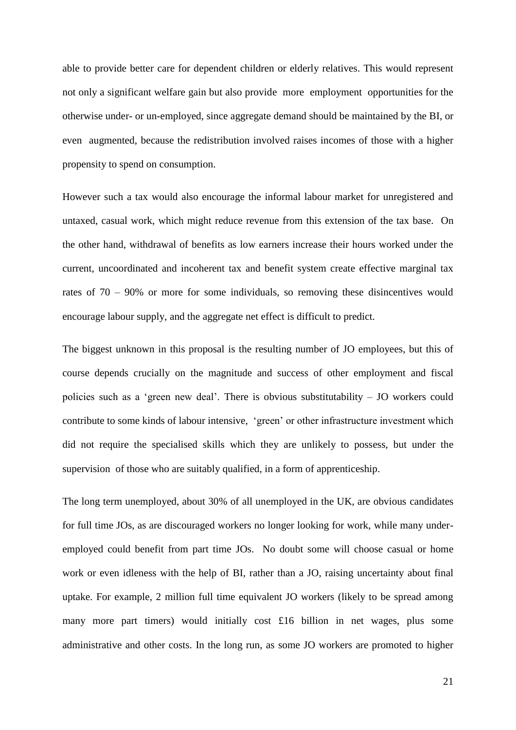able to provide better care for dependent children or elderly relatives. This would represent not only a significant welfare gain but also provide more employment opportunities for the otherwise under- or un-employed, since aggregate demand should be maintained by the BI, or even augmented, because the redistribution involved raises incomes of those with a higher propensity to spend on consumption.

However such a tax would also encourage the informal labour market for unregistered and untaxed, casual work, which might reduce revenue from this extension of the tax base. On the other hand, withdrawal of benefits as low earners increase their hours worked under the current, uncoordinated and incoherent tax and benefit system create effective marginal tax rates of 70 – 90% or more for some individuals, so removing these disincentives would encourage labour supply, and the aggregate net effect is difficult to predict.

The biggest unknown in this proposal is the resulting number of JO employees, but this of course depends crucially on the magnitude and success of other employment and fiscal policies such as a 'green new deal'. There is obvious substitutability – JO workers could contribute to some kinds of labour intensive, 'green' or other infrastructure investment which did not require the specialised skills which they are unlikely to possess, but under the supervision of those who are suitably qualified, in a form of apprenticeship.

The long term unemployed, about 30% of all unemployed in the UK, are obvious candidates for full time JOs, as are discouraged workers no longer looking for work, while many underemployed could benefit from part time JOs. No doubt some will choose casual or home work or even idleness with the help of BI, rather than a JO, raising uncertainty about final uptake. For example, 2 million full time equivalent JO workers (likely to be spread among many more part timers) would initially cost £16 billion in net wages, plus some administrative and other costs. In the long run, as some JO workers are promoted to higher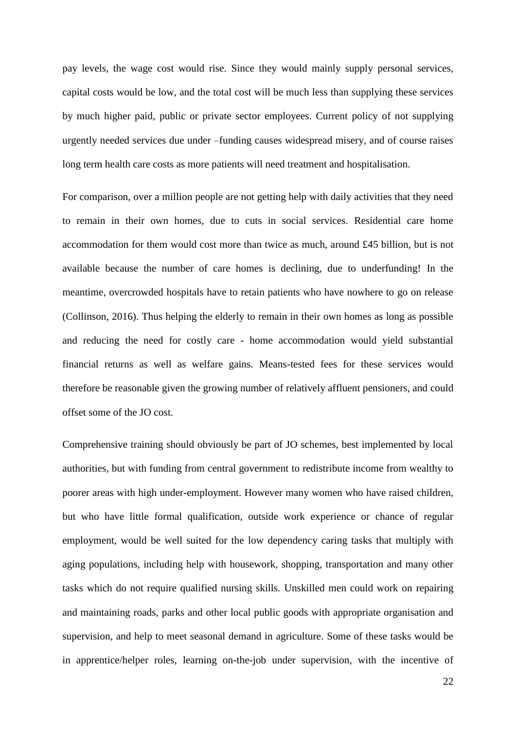pay levels, the wage cost would rise. Since they would mainly supply personal services, capital costs would be low, and the total cost will be much less than supplying these services by much higher paid, public or private sector employees. Current policy of not supplying urgently needed services due under –funding causes widespread misery, and of course raises long term health care costs as more patients will need treatment and hospitalisation.

For comparison, over a million people are not getting help with daily activities that they need to remain in their own homes, due to cuts in social services. Residential care home accommodation for them would cost more than twice as much, around £45 billion, but is not available because the number of care homes is declining, due to underfunding! In the meantime, overcrowded hospitals have to retain patients who have nowhere to go on release (Collinson, 2016). Thus helping the elderly to remain in their own homes as long as possible and reducing the need for costly care - home accommodation would yield substantial financial returns as well as welfare gains. Means-tested fees for these services would therefore be reasonable given the growing number of relatively affluent pensioners, and could offset some of the JO cost.

Comprehensive training should obviously be part of JO schemes, best implemented by local authorities, but with funding from central government to redistribute income from wealthy to poorer areas with high under-employment. However many women who have raised children, but who have little formal qualification, outside work experience or chance of regular employment, would be well suited for the low dependency caring tasks that multiply with aging populations, including help with housework, shopping, transportation and many other tasks which do not require qualified nursing skills. Unskilled men could work on repairing and maintaining roads, parks and other local public goods with appropriate organisation and supervision, and help to meet seasonal demand in agriculture. Some of these tasks would be in apprentice/helper roles, learning on-the-job under supervision, with the incentive of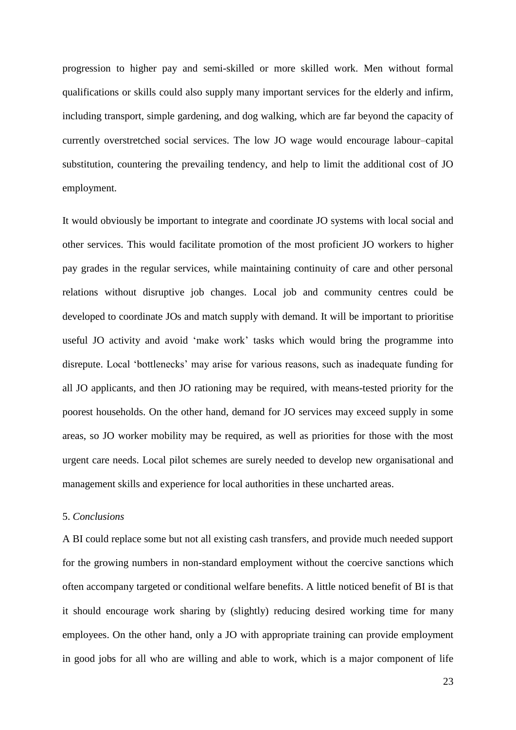progression to higher pay and semi-skilled or more skilled work. Men without formal qualifications or skills could also supply many important services for the elderly and infirm, including transport, simple gardening, and dog walking, which are far beyond the capacity of currently overstretched social services. The low JO wage would encourage labour–capital substitution, countering the prevailing tendency, and help to limit the additional cost of JO employment.

It would obviously be important to integrate and coordinate JO systems with local social and other services. This would facilitate promotion of the most proficient JO workers to higher pay grades in the regular services, while maintaining continuity of care and other personal relations without disruptive job changes. Local job and community centres could be developed to coordinate JOs and match supply with demand. It will be important to prioritise useful JO activity and avoid 'make work' tasks which would bring the programme into disrepute. Local 'bottlenecks' may arise for various reasons, such as inadequate funding for all JO applicants, and then JO rationing may be required, with means-tested priority for the poorest households. On the other hand, demand for JO services may exceed supply in some areas, so JO worker mobility may be required, as well as priorities for those with the most urgent care needs. Local pilot schemes are surely needed to develop new organisational and management skills and experience for local authorities in these uncharted areas.

### 5. *Conclusions*

A BI could replace some but not all existing cash transfers, and provide much needed support for the growing numbers in non-standard employment without the coercive sanctions which often accompany targeted or conditional welfare benefits. A little noticed benefit of BI is that it should encourage work sharing by (slightly) reducing desired working time for many employees. On the other hand, only a JO with appropriate training can provide employment in good jobs for all who are willing and able to work, which is a major component of life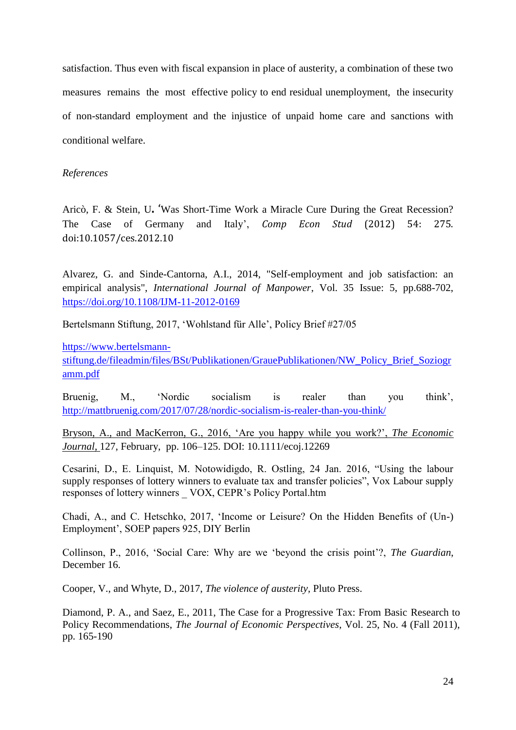satisfaction. Thus even with fiscal expansion in place of austerity, a combination of these two measures remains the most effective policy to end residual unemployment, the insecurity of non-standard employment and the injustice of unpaid home care and sanctions with conditional welfare.

### *References*

Aricò, F. & Stein, U**.** 'Was Short-Time Work a Miracle Cure During the Great Recession? The Case of Germany and Italy', *Comp Econ Stud* (2012) 54: 275. doi:10.1057/ces.2012.10

Alvarez, G. and Sinde-Cantorna, A.I., 2014, "Self-employment and job satisfaction: an empirical analysis", *International Journal of Manpower*, Vol. 35 Issue: 5, pp.688-702, <https://doi.org/10.1108/IJM-11-2012-0169>

Bertelsmann Stiftung, 2017, 'Wohlstand für Alle', Policy Brief #27/05

[https://www.bertelsmann-](https://www.bertelsmann-stiftung.de/fileadmin/files/BSt/Publikationen/GrauePublikationen/NW_Policy_Brief_Soziogramm.pdf)

[stiftung.de/fileadmin/files/BSt/Publikationen/GrauePublikationen/NW\\_Policy\\_Brief\\_Soziogr](https://www.bertelsmann-stiftung.de/fileadmin/files/BSt/Publikationen/GrauePublikationen/NW_Policy_Brief_Soziogramm.pdf) [amm.pdf](https://www.bertelsmann-stiftung.de/fileadmin/files/BSt/Publikationen/GrauePublikationen/NW_Policy_Brief_Soziogramm.pdf)

Bruenig, M., 'Nordic socialism is realer than you think', <http://mattbruenig.com/2017/07/28/nordic-socialism-is-realer-than-you-think/>

Bryson, A., and MacKerron, G., 2016, 'Are you happy while you work?', *The Economic Journal*, 127, February, pp. 106–125. DOI: 10.1111/ecoj.12269

Cesarini, D., E. Linquist, M. Notowidigdo, R. Ostling, 24 Jan. 2016, "Using the labour supply responses of lottery winners to evaluate tax and transfer policies", Vox Labour supply responses of lottery winners \_ VOX, CEPR's Policy Portal.htm

Chadi, A., and C. Hetschko, 2017, 'Income or Leisure? On the Hidden Benefits of (Un-) Employment', SOEP papers 925, DIY Berlin

Collinson, P., 2016, 'Social Care: Why are we 'beyond the crisis point'?, *The Guardian*, December 16.

Cooper, V., and Whyte, D., 2017, *The violence of austerity,* Pluto Press.

Diamond, P. A., and Saez, E., 2011, The Case for a Progressive Tax: From Basic Research to Policy Recommendations, *The Journal of Economic Perspectives*, Vol. 25, No. 4 (Fall 2011), pp. 165-190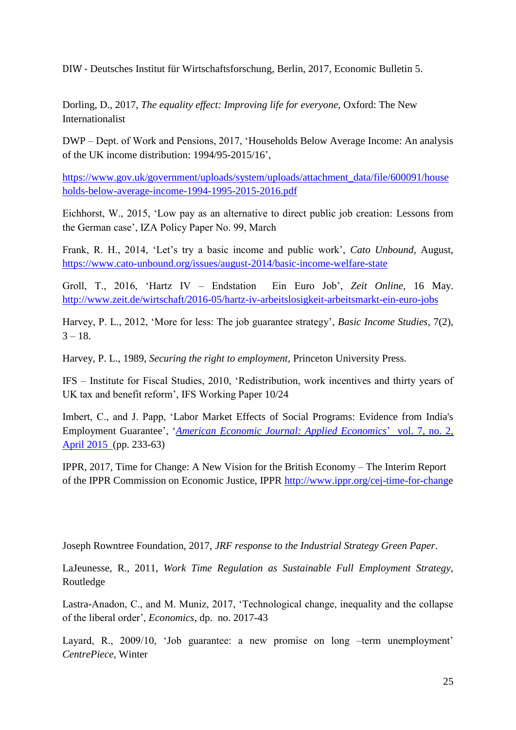DIW - Deutsches Institut für Wirtschaftsforschung, Berlin, 2017, Economic Bulletin 5.

Dorling, D., 2017, *The equality effect: Improving life for everyone,* Oxford: The New Internationalist

DWP – Dept. of Work and Pensions, 2017, 'Households Below Average Income: An analysis of the UK income distribution: 1994/95-2015/16',

[https://www.gov.uk/government/uploads/system/uploads/attachment\\_data/file/600091/house](https://www.gov.uk/government/uploads/system/uploads/attachment_data/file/600091/households-below-average-income-1994-1995-2015-2016.pdf) [holds-below-average-income-1994-1995-2015-2016.pdf](https://www.gov.uk/government/uploads/system/uploads/attachment_data/file/600091/households-below-average-income-1994-1995-2015-2016.pdf)

Eichhorst, W., 2015, 'Low pay as an alternative to direct public job creation: Lessons from the German case', IZA Policy Paper No. 99, March

Frank, R. H., 2014, 'Let's try a basic income and public work', *Cato Unbound*, August, <https://www.cato-unbound.org/issues/august-2014/basic-income-welfare-state>

Groll, T., 2016, 'Hartz IV – Endstation Ein Euro Job', *Zeit Online,* 16 May. <http://www.zeit.de/wirtschaft/2016-05/hartz-iv-arbeitslosigkeit-arbeitsmarkt-ein-euro-jobs>

Harvey, P. L., 2012, 'More for less: The job guarantee strategy', *Basic Income Studies,* 7(2),  $3 - 18$ .

Harvey, P. L., 1989, *Securing the right to employment,* Princeton University Press.

IFS – Institute for Fiscal Studies, 2010, 'Redistribution, work incentives and thirty years of UK tax and benefit reform', IFS Working Paper 10/24

Imbert, C., and J. Papp, 'Labor Market Effects of Social Programs: Evidence from India's Employment Guarantee', '*[American Economic Journal: Applied Economics](https://www.aeaweb.org/issues/367)*' [vol. 7, no. 2,](https://www.aeaweb.org/issues/367)  [April 2015](https://www.aeaweb.org/issues/367) (pp. 233-63)

IPPR, 2017, Time for Change: A New Vision for the British Economy – The Interim Report of the IPPR Commission on Economic Justice, IPPR [http://www.ippr.org/cej-time-for-change](http://www.ippr.org/cej-time-for-chang)

Joseph Rowntree Foundation, 2017, *JRF response to the Industrial Strategy Green Paper*.

LaJeunesse, R., 2011, *Work Time Regulation as Sustainable Full Employment Strategy*, Routledge

Lastra-Anadon, C., and M. Muniz, 2017, 'Technological change, inequality and the collapse of the liberal order', *Economics*, dp. no. 2017-43

Layard, R., 2009/10, 'Job guarantee: a new promise on long –term unemployment' *CentrePiece,* Winter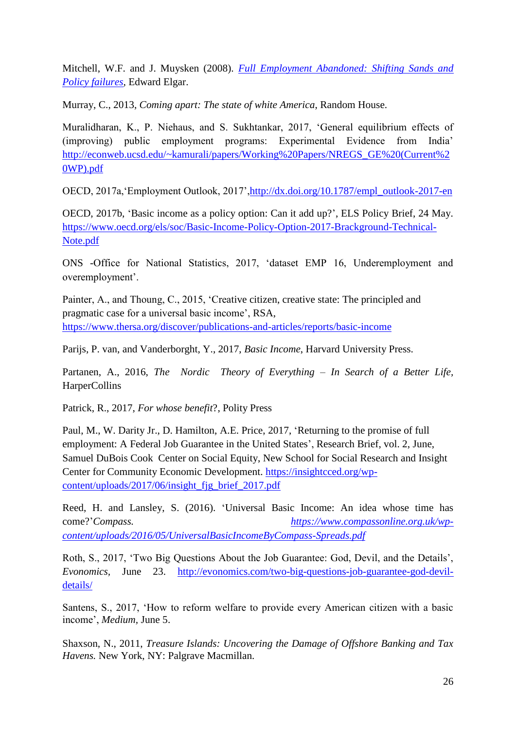Mitchell, W.F. and J. Muysken (2008). *[Full Employment Abandoned: Shifting Sands and](http://www.e-elgar.co.uk/Bookentry_Main.lasso?id=1188)  [Policy failures,](http://www.e-elgar.co.uk/Bookentry_Main.lasso?id=1188)* Edward Elgar.

Murray, C., 2013, *Coming apart: The state of white America*, Random House.

Muralidharan, K., P. Niehaus, and S. Sukhtankar, 2017, 'General equilibrium effects of (improving) public employment programs: Experimental Evidence from India' [http://econweb.ucsd.edu/~kamurali/papers/Working%20Papers/NREGS\\_GE%20\(Current%2](http://econweb.ucsd.edu/~kamurali/papers/Working%20Papers/NREGS_GE%20(Current%20WP).pdf) [0WP\).pdf](http://econweb.ucsd.edu/~kamurali/papers/Working%20Papers/NREGS_GE%20(Current%20WP).pdf)

OECD, 2017a,'Employment Outlook, 2017'[,http://dx.doi.org/10.1787/empl\\_outlook-2017-en](http://dx.doi.org/10.1787/empl_outlook-2017-en)

OECD, 2017b, 'Basic income as a policy option: Can it add up?', ELS Policy Brief, 24 May. [https://www.oecd.org/els/soc/Basic-Income-Policy-Option-2017-Brackground-Technical-](https://www.oecd.org/els/soc/Basic-Income-Policy-Option-2017-Brackground-Technical-Note.pdf)[Note.pdf](https://www.oecd.org/els/soc/Basic-Income-Policy-Option-2017-Brackground-Technical-Note.pdf)

ONS -Office for National Statistics, 2017, 'dataset EMP 16, Underemployment and overemployment'.

Painter, A., and Thoung, C., 2015, 'Creative citizen, creative state: The principled and pragmatic case for a universal basic income', RSA, <https://www.thersa.org/discover/publications-and-articles/reports/basic-income>

Parijs, P. van, and Vanderborght, Y., 2017, *Basic Income*, Harvard University Press.

Partanen, A., 2016, *The Nordic Theory of Everything – In Search of a Better Life,* **HarperCollins** 

Patrick, R., 2017, *For whose benefit*?, Polity Press

Paul, M., W. Darity Jr., D. Hamilton, A.E. Price, 2017, 'Returning to the promise of full employment: A Federal Job Guarantee in the United States', Research Brief, vol. 2, June, Samuel DuBois Cook Center on Social Equity, New School for Social Research and Insight Center for Community Economic Development. [https://insightcced.org/wp](https://insightcced.org/wp-content/uploads/2017/06/insight_fjg_brief_2017.pdf)[content/uploads/2017/06/insight\\_fjg\\_brief\\_2017.pdf](https://insightcced.org/wp-content/uploads/2017/06/insight_fjg_brief_2017.pdf)

Reed, H. and Lansley, S. (2016). 'Universal Basic Income: An idea whose time has come?'*Compass. [https://www.compassonline.org.uk/wp](https://www.compassonline.org.uk/wp-content/uploads/2016/05/UniversalBasicIncomeByCompass-Spreads.pdf)[content/uploads/2016/05/UniversalBasicIncomeByCompass-Spreads.pdf](https://www.compassonline.org.uk/wp-content/uploads/2016/05/UniversalBasicIncomeByCompass-Spreads.pdf)*

Roth, S., 2017, 'Two Big Questions About the Job Guarantee: God, Devil, and the Details', *Evonomics,* June 23. [http://evonomics.com/two-big-questions-job-guarantee-god-devil](http://evonomics.com/two-big-questions-job-guarantee-god-devil-details/)[details/](http://evonomics.com/two-big-questions-job-guarantee-god-devil-details/)

Santens, S., 2017, 'How to reform welfare to provide every American citizen with a basic income', *Medium,* June 5.

Shaxson, N., 2011, *Treasure Islands: Uncovering the Damage of Offshore Banking and Tax Havens.* New York, NY: Palgrave Macmillan*.*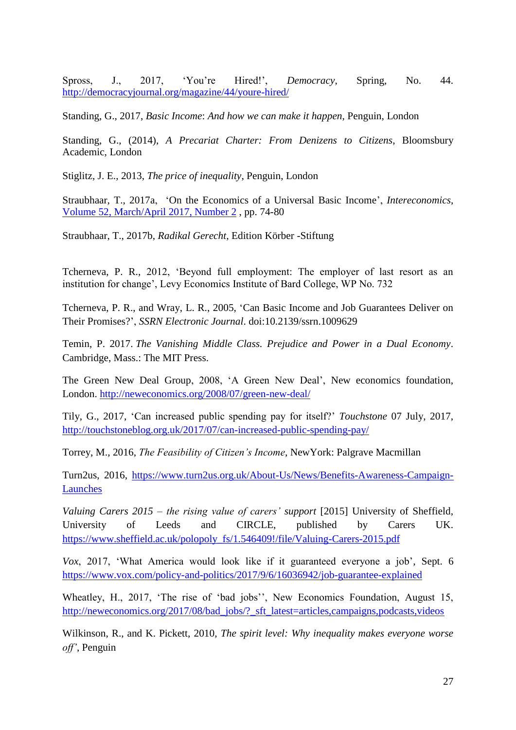Spross, J., 2017, 'You're Hired!', *Democracy*, Spring, No. 44. <http://democracyjournal.org/magazine/44/youre-hired/>

Standing, G., 2017, *Basic Income*: *And how we can make it happen*, Penguin, London

Standing, G., (2014), *A Precariat Charter: From Denizens to Citizens*, Bloomsbury Academic, London

Stiglitz, J. E., 2013, *The price of inequality*, Penguin, London

Straubhaar, T., 2017a, 'On the Economics of a Universal Basic Income', *Intereconomics*, [Volume 52, March/April 2017, Number 2](https://archive.intereconomics.eu/year/2017/2/) , pp. 74-80

Straubhaar, T., 2017b, *Radikal Gerecht,* Edition Körber -Stiftung

Tcherneva, P. R., 2012, 'Beyond full employment: The employer of last resort as an institution for change', Levy Economics Institute of Bard College, WP No. 732

Tcherneva, P. R., and Wray, L. R., 2005, 'Can Basic Income and Job Guarantees Deliver on Their Promises?', *SSRN Electronic Journal*. doi:10.2139/ssrn.1009629

Temin, P. 2017. *The Vanishing Middle Class. Prejudice and Power in a Dual Economy*. Cambridge, Mass.: The MIT Press.

The Green New Deal Group, 2008, 'A Green New Deal', New economics foundation, London. <http://neweconomics.org/2008/07/green-new-deal/>

Tily, G., 2017, 'Can increased public spending pay for itself?' *Touchstone* 07 July, 2017, <http://touchstoneblog.org.uk/2017/07/can-increased-public-spending-pay/>

Torrey, M., 2016, *The Feasibility of Citizen's Income*, NewYork: Palgrave Macmillan

Turn2us, 2016, [https://www.turn2us.org.uk/About-Us/News/Benefits-Awareness-Campaign-](https://www.turn2us.org.uk/About-Us/News/Benefits-Awareness-Campaign-Launches)[Launches](https://www.turn2us.org.uk/About-Us/News/Benefits-Awareness-Campaign-Launches)

*Valuing Carers 2015 – the rising value of carers' support* [2015] University of Sheffield, University of Leeds and CIRCLE, published by Carers UK. [https://www.sheffield.ac.uk/polopoly\\_fs/1.546409!/file/Valuing-Carers-2015.pdf](https://www.sheffield.ac.uk/polopoly_fs/1.546409!/file/Valuing-Carers-2015.pdf)

*Vox*, 2017, 'What America would look like if it guaranteed everyone a job', Sept. 6 <https://www.vox.com/policy-and-politics/2017/9/6/16036942/job-guarantee-explained>

Wheatley, H., 2017, 'The rise of 'bad jobs'', New Economics Foundation, August 15, [http://neweconomics.org/2017/08/bad\\_jobs/?\\_sft\\_latest=articles,campaigns,podcasts,videos](http://neweconomics.org/2017/08/bad_jobs/?_sft_latest=articles,campaigns,podcasts,videos)

Wilkinson, R., and K. Pickett, 2010, *The spirit level: Why inequality makes everyone worse off'*, Penguin